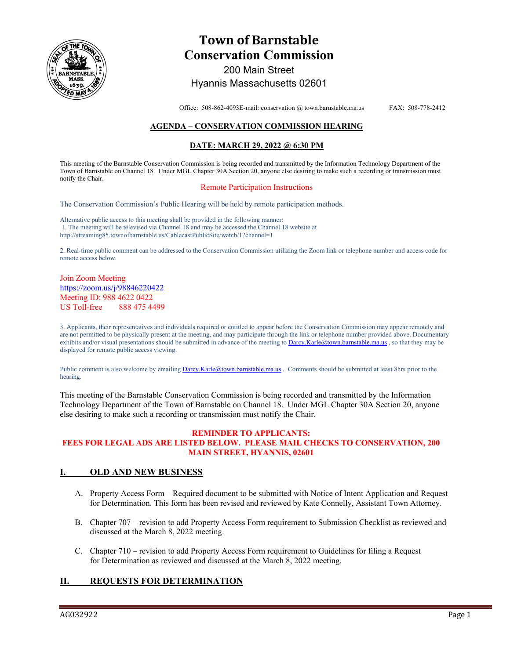

# **Town of Barnstable Conservation Commission**  200 Main Street

## Hyannis Massachusetts 02601

Office: 508-862-4093E-mail: conservation @ town.barnstable.ma.us FAX: 508-778-2412

### **AGENDA – CONSERVATION COMMISSION HEARING**

#### **DATE: MARCH 29, 2022 @ 6:30 PM**

This meeting of the Barnstable Conservation Commission is being recorded and transmitted by the Information Technology Department of the Town of Barnstable on Channel 18. Under MGL Chapter 30A Section 20, anyone else desiring to make such a recording or transmission must notify the Chair.

#### Remote Participation Instructions

The Conservation Commission's Public Hearing will be held by remote participation methods.

Alternative public access to this meeting shall be provided in the following manner: 1. The meeting will be televised via Channel 18 and may be accessed the Channel 18 website at http://streaming85.townofbarnstable.us/CablecastPublicSite/watch/1?channel=1

2. Real-time public comment can be addressed to the Conservation Commission utilizing the Zoom link or telephone number and access code for remote access below.

#### Join Zoom Meeting https://zoom.us/j/98846220422 Meeting ID: 988 4622 0422 US Toll-free 888 475 4499

3. Applicants, their representatives and individuals required or entitled to appear before the Conservation Commission may appear remotely and are not permitted to be physically present at the meeting, and may participate through the link or telephone number provided above. Documentary exhibits and/or visual presentations should be submitted in advance of the meeting to Darcy.Karle@town.barnstable.ma.us, so that they may be displayed for remote public access viewing.

Public comment is also welcome by emailing Darcy.Karle@town.barnstable.ma.us. Comments should be submitted at least 8hrs prior to the hearing.

This meeting of the Barnstable Conservation Commission is being recorded and transmitted by the Information Technology Department of the Town of Barnstable on Channel 18. Under MGL Chapter 30A Section 20, anyone else desiring to make such a recording or transmission must notify the Chair.

#### **REMINDER TO APPLICANTS: FEES FOR LEGAL ADS ARE LISTED BELOW. PLEASE MAIL CHECKS TO CONSERVATION, 200 MAIN STREET, HYANNIS, 02601**

#### **I. OLD AND NEW BUSINESS**

- A. Property Access Form Required document to be submitted with Notice of Intent Application and Request for Determination. This form has been revised and reviewed by Kate Connelly, Assistant Town Attorney.
- B. Chapter 707 revision to add Property Access Form requirement to Submission Checklist as reviewed and discussed at the March 8, 2022 meeting.
- C. Chapter 710 revision to add Property Access Form requirement to Guidelines for filing a Request for Determination as reviewed and discussed at the March 8, 2022 meeting.

## **II. REQUESTS FOR DETERMINATION**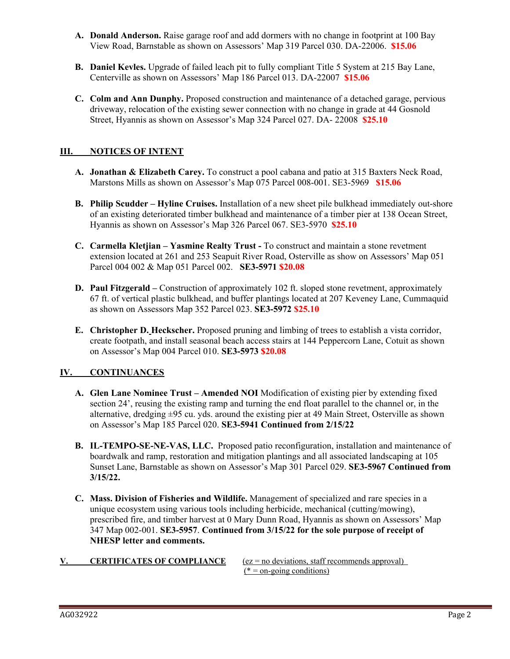- **A. Donald Anderson.** Raise garage roof and add dormers with no change in footprint at 100 Bay View Road, Barnstable as shown on Assessors' Map 319 Parcel 030. DA-22006. **\$15.06**
- **B. Daniel Kevles.** Upgrade of failed leach pit to fully compliant Title 5 System at 215 Bay Lane, Centerville as shown on Assessors' Map 186 Parcel 013. DA-22007 **\$15.06**
- **C. Colm and Ann Dunphy.** Proposed construction and maintenance of a detached garage, pervious driveway, relocation of the existing sewer connection with no change in grade at 44 Gosnold Street, Hyannis as shown on Assessor's Map 324 Parcel 027. DA- 22008 **\$25.10**

## **III. NOTICES OF INTENT**

- **A. Jonathan & Elizabeth Carey.** To construct a pool cabana and patio at 315 Baxters Neck Road, Marstons Mills as shown on Assessor's Map 075 Parcel 008-001. SE3-5969 **\$15.06**
- **B. Philip Scudder Hyline Cruises.** Installation of a new sheet pile bulkhead immediately out-shore of an existing deteriorated timber bulkhead and maintenance of a timber pier at 138 Ocean Street, Hyannis as shown on Assessor's Map 326 Parcel 067. SE3-5970 **\$25.10**
- **C. Carmella Kletjian Yasmine Realty Trust** To construct and maintain a stone revetment extension located at 261 and 253 Seapuit River Road, Osterville as show on Assessors' Map 051 Parcel 004 002 & Map 051 Parcel 002. **SE3-5971 \$20.08**
- **D. Paul Fitzgerald –** Construction of approximately 102 ft. sloped stone revetment, approximately 67 ft. of vertical plastic bulkhead, and buffer plantings located at 207 Keveney Lane, Cummaquid as shown on Assessors Map 352 Parcel 023. **SE3-5972 \$25.10**
- **E. Christopher D. Heckscher.** Proposed pruning and limbing of trees to establish a vista corridor, create footpath, and install seasonal beach access stairs at 144 Peppercorn Lane, Cotuit as shown on Assessor's Map 004 Parcel 010. **SE3-5973 \$20.08**

## **IV. CONTINUANCES**

- **A. Glen Lane Nominee Trust Amended NOI** Modification of existing pier by extending fixed section 24', reusing the existing ramp and turning the end float parallel to the channel or, in the alternative, dredging  $\pm 95$  cu. yds. around the existing pier at 49 Main Street, Osterville as shown on Assessor's Map 185 Parcel 020. **SE3-5941 Continued from 2/15/22**
- **B. IL-TEMPO-SE-NE-VAS, LLC.** Proposed patio reconfiguration, installation and maintenance of boardwalk and ramp, restoration and mitigation plantings and all associated landscaping at 105 Sunset Lane, Barnstable as shown on Assessor's Map 301 Parcel 029. **SE3-5967 Continued from 3/15/22.**
- **C. Mass. Division of Fisheries and Wildlife.** Management of specialized and rare species in a unique ecosystem using various tools including herbicide, mechanical (cutting/mowing), prescribed fire, and timber harvest at 0 Mary Dunn Road, Hyannis as shown on Assessors' Map 347 Map 002-001. **SE3-5957**. **Continued from 3/15/22 for the sole purpose of receipt of NHESP letter and comments.**
- 

**V. CERTIFICATES OF COMPLIANCE**  $(ez = no deviations, staff recommends approval)$  $(* = \text{on-going conditions})$